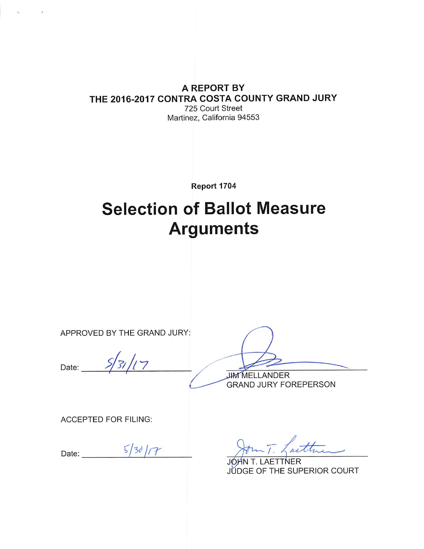#### A REPORT BY THE 2016-2017 CONTRA COSTA COUNTY GRAND JURY 725 Court Street Martinez, California 94553

Report 1704

# **Selection of Ballot Measure Arguments**

APPROVED BY THE GRAND JURY:

 $531/17$ Date:

**JIM MELLANDER GRAND JURY FOREPERSON** 

**ACCEPTED FOR FILING:** 

Date:  $\frac{5}{30}/7$ 

Cattri

JÓHN T. LAETTNER JUDGE OF THE SUPERIOR COURT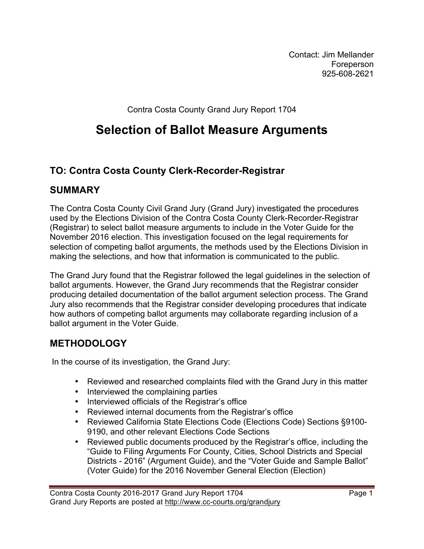Contact: Jim Mellander Foreperson 925-608-2621

Contra Costa County Grand Jury Report 1704

# **Selection of Ballot Measure Arguments**

# **TO: Contra Costa County Clerk-Recorder-Registrar**

#### **SUMMARY**

The Contra Costa County Civil Grand Jury (Grand Jury) investigated the procedures used by the Elections Division of the Contra Costa County Clerk-Recorder-Registrar (Registrar) to select ballot measure arguments to include in the Voter Guide for the November 2016 election. This investigation focused on the legal requirements for selection of competing ballot arguments, the methods used by the Elections Division in making the selections, and how that information is communicated to the public.

The Grand Jury found that the Registrar followed the legal guidelines in the selection of ballot arguments. However, the Grand Jury recommends that the Registrar consider producing detailed documentation of the ballot argument selection process. The Grand Jury also recommends that the Registrar consider developing procedures that indicate how authors of competing ballot arguments may collaborate regarding inclusion of a ballot argument in the Voter Guide.

## **METHODOLOGY**

In the course of its investigation, the Grand Jury:

- Reviewed and researched complaints filed with the Grand Jury in this matter
- Interviewed the complaining parties
- Interviewed officials of the Registrar's office
- Reviewed internal documents from the Registrar's office
- Reviewed California State Elections Code (Elections Code) Sections §9100- 9190, and other relevant Elections Code Sections
- Reviewed public documents produced by the Registrar's office, including the "Guide to Filing Arguments For County, Cities, School Districts and Special Districts - 2016" (Argument Guide), and the "Voter Guide and Sample Ballot" (Voter Guide) for the 2016 November General Election (Election)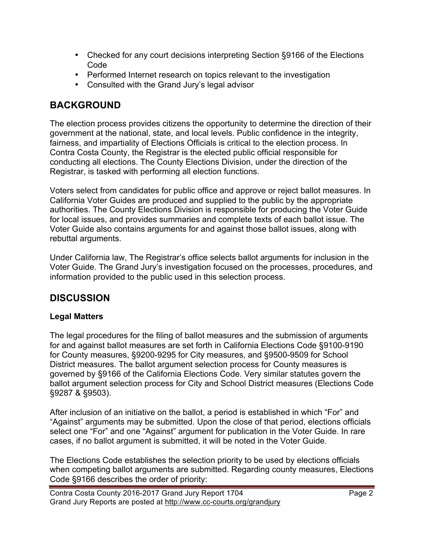- Checked for any court decisions interpreting Section §9166 of the Elections Code
- Performed Internet research on topics relevant to the investigation
- Consulted with the Grand Jury's legal advisor

# **BACKGROUND**

The election process provides citizens the opportunity to determine the direction of their government at the national, state, and local levels. Public confidence in the integrity, fairness, and impartiality of Elections Officials is critical to the election process. In Contra Costa County, the Registrar is the elected public official responsible for conducting all elections. The County Elections Division, under the direction of the Registrar, is tasked with performing all election functions.

Voters select from candidates for public office and approve or reject ballot measures. In California Voter Guides are produced and supplied to the public by the appropriate authorities. The County Elections Division is responsible for producing the Voter Guide for local issues, and provides summaries and complete texts of each ballot issue. The Voter Guide also contains arguments for and against those ballot issues, along with rebuttal arguments.

Under California law, The Registrar's office selects ballot arguments for inclusion in the Voter Guide. The Grand Jury's investigation focused on the processes, procedures, and information provided to the public used in this selection process.

# **DISCUSSION**

#### **Legal Matters**

The legal procedures for the filing of ballot measures and the submission of arguments for and against ballot measures are set forth in California Elections Code §9100-9190 for County measures, §9200-9295 for City measures, and §9500-9509 for School District measures. The ballot argument selection process for County measures is governed by §9166 of the California Elections Code. Very similar statutes govern the ballot argument selection process for City and School District measures (Elections Code §9287 & §9503).

After inclusion of an initiative on the ballot, a period is established in which "For" and "Against" arguments may be submitted. Upon the close of that period, elections officials select one "For" and one "Against" argument for publication in the Voter Guide. In rare cases, if no ballot argument is submitted, it will be noted in the Voter Guide.

The Elections Code establishes the selection priority to be used by elections officials when competing ballot arguments are submitted. Regarding county measures, Elections Code §9166 describes the order of priority: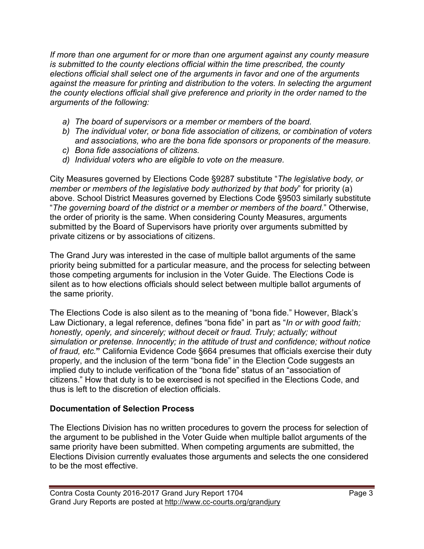*If more than one argument for or more than one argument against any county measure is submitted to the county elections official within the time prescribed, the county elections official shall select one of the arguments in favor and one of the arguments against the measure for printing and distribution to the voters. In selecting the argument the county elections official shall give preference and priority in the order named to the arguments of the following:*

- *a) The board of supervisors or a member or members of the board.*
- *b) The individual voter, or bona fide association of citizens, or combination of voters and associations, who are the bona fide sponsors or proponents of the measure.*
- *c) Bona fide associations of citizens.*
- *d) Individual voters who are eligible to vote on the measure.*

City Measures governed by Elections Code §9287 substitute "*The legislative body, or member or members of the legislative body authorized by that body*" for priority (a) above. School District Measures governed by Elections Code §9503 similarly substitute "*The governing board of the district or a member or members of the board.*" Otherwise, the order of priority is the same. When considering County Measures, arguments submitted by the Board of Supervisors have priority over arguments submitted by private citizens or by associations of citizens.

The Grand Jury was interested in the case of multiple ballot arguments of the same priority being submitted for a particular measure, and the process for selecting between those competing arguments for inclusion in the Voter Guide. The Elections Code is silent as to how elections officials should select between multiple ballot arguments of the same priority.

The Elections Code is also silent as to the meaning of "bona fide." However, Black's Law Dictionary, a legal reference, defines "bona fide" in part as "*In or with good faith; honestly, openly, and sincerely; without deceit or fraud. Truly; actually; without simulation or pretense. Innocently; in the attitude of trust and confidence; without notice of fraud, etc.***"** California Evidence Code §664 presumes that officials exercise their duty properly, and the inclusion of the term "bona fide" in the Election Code suggests an implied duty to include verification of the "bona fide" status of an "association of citizens." How that duty is to be exercised is not specified in the Elections Code, and thus is left to the discretion of election officials.

#### **Documentation of Selection Process**

The Elections Division has no written procedures to govern the process for selection of the argument to be published in the Voter Guide when multiple ballot arguments of the same priority have been submitted. When competing arguments are submitted, the Elections Division currently evaluates those arguments and selects the one considered to be the most effective.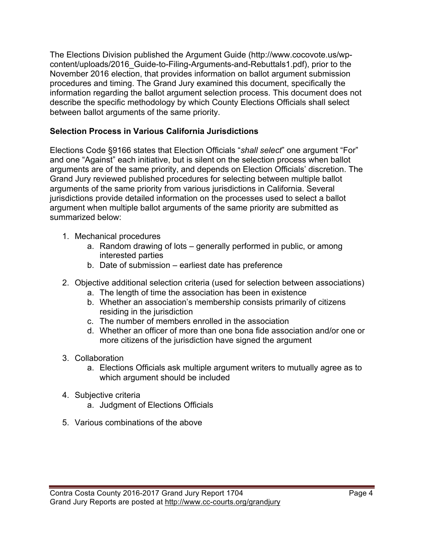The Elections Division published the Argument Guide (http://www.cocovote.us/wpcontent/uploads/2016\_Guide-to-Filing-Arguments-and-Rebuttals1.pdf), prior to the November 2016 election, that provides information on ballot argument submission procedures and timing. The Grand Jury examined this document, specifically the information regarding the ballot argument selection process. This document does not describe the specific methodology by which County Elections Officials shall select between ballot arguments of the same priority.

#### **Selection Process in Various California Jurisdictions**

Elections Code §9166 states that Election Officials "*shall select*" one argument "For" and one "Against" each initiative, but is silent on the selection process when ballot arguments are of the same priority, and depends on Election Officials' discretion. The Grand Jury reviewed published procedures for selecting between multiple ballot arguments of the same priority from various jurisdictions in California. Several jurisdictions provide detailed information on the processes used to select a ballot argument when multiple ballot arguments of the same priority are submitted as summarized below:

- 1. Mechanical procedures
	- a. Random drawing of lots generally performed in public, or among interested parties
	- b. Date of submission earliest date has preference
- 2. Objective additional selection criteria (used for selection between associations)
	- a. The length of time the association has been in existence
	- b. Whether an association's membership consists primarily of citizens residing in the jurisdiction
	- c. The number of members enrolled in the association
	- d. Whether an officer of more than one bona fide association and/or one or more citizens of the jurisdiction have signed the argument
- 3. Collaboration
	- a. Elections Officials ask multiple argument writers to mutually agree as to which argument should be included
- 4. Subjective criteria
	- a. Judgment of Elections Officials
- 5. Various combinations of the above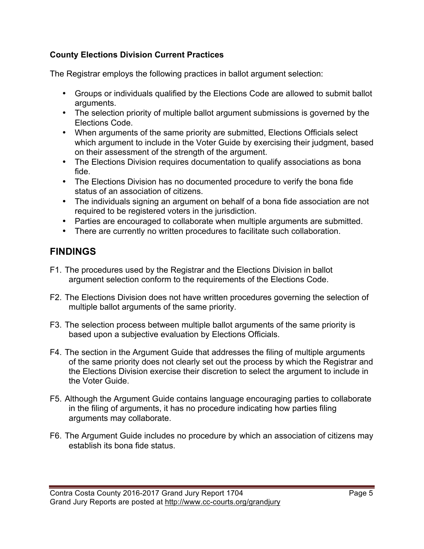#### **County Elections Division Current Practices**

The Registrar employs the following practices in ballot argument selection:

- Groups or individuals qualified by the Elections Code are allowed to submit ballot arguments.
- The selection priority of multiple ballot argument submissions is governed by the Elections Code.
- When arguments of the same priority are submitted, Elections Officials select which argument to include in the Voter Guide by exercising their judgment, based on their assessment of the strength of the argument.
- The Elections Division requires documentation to qualify associations as bona fide.
- The Elections Division has no documented procedure to verify the bona fide status of an association of citizens.
- The individuals signing an argument on behalf of a bona fide association are not required to be registered voters in the jurisdiction.
- Parties are encouraged to collaborate when multiple arguments are submitted.
- There are currently no written procedures to facilitate such collaboration.

# **FINDINGS**

- F1. The procedures used by the Registrar and the Elections Division in ballot argument selection conform to the requirements of the Elections Code.
- F2. The Elections Division does not have written procedures governing the selection of multiple ballot arguments of the same priority.
- F3. The selection process between multiple ballot arguments of the same priority is based upon a subjective evaluation by Elections Officials.
- F4. The section in the Argument Guide that addresses the filing of multiple arguments of the same priority does not clearly set out the process by which the Registrar and the Elections Division exercise their discretion to select the argument to include in the Voter Guide.
- F5. Although the Argument Guide contains language encouraging parties to collaborate in the filing of arguments, it has no procedure indicating how parties filing arguments may collaborate.
- F6. The Argument Guide includes no procedure by which an association of citizens may establish its bona fide status.